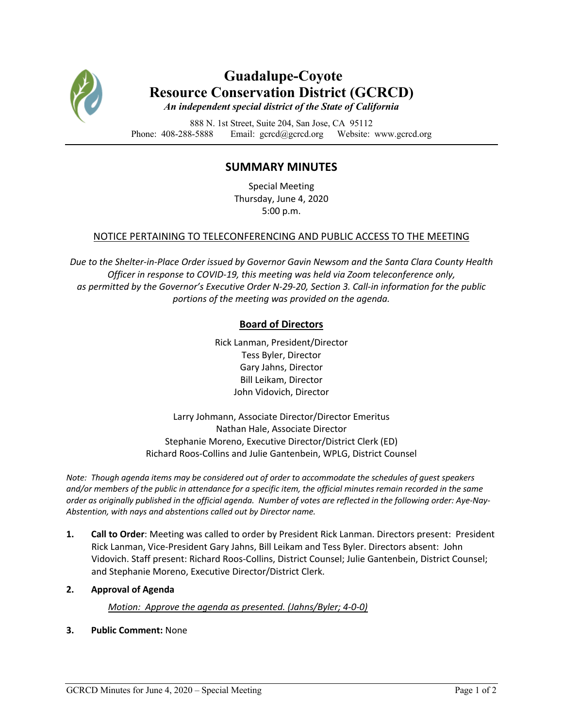

# **Guadalupe-Coyote Resource Conservation District (GCRCD)**

*An independent special district of the State of California*

888 N. 1st Street, Suite 204, San Jose, CA 95112 Phone: 408-288-5888 Email: gcrcd@gcrcd.org Website: www.gcrcd.org

## **SUMMARY MINUTES**

Special Meeting Thursday, June 4, 2020 5:00 p.m.

#### NOTICE PERTAINING TO TELECONFERENCING AND PUBLIC ACCESS TO THE MEETING

*Due to the Shelter-in-Place Order issued by Governor Gavin Newsom and the Santa Clara County Health Officer in response to COVID-19, this meeting was held via Zoom teleconference only, as permitted by the Governor's Executive Order N-29-20, Section 3. Call-in information for the public portions of the meeting was provided on the agenda.*

### **Board of Directors**

Rick Lanman, President/Director Tess Byler, Director Gary Jahns, Director Bill Leikam, Director John Vidovich, Director

Larry Johmann, Associate Director/Director Emeritus Nathan Hale, Associate Director Stephanie Moreno, Executive Director/District Clerk (ED) Richard Roos-Collins and Julie Gantenbein, WPLG, District Counsel

*Note: Though agenda items may be considered out of order to accommodate the schedules of guest speakers and/or members of the public in attendance for a specific item, the official minutes remain recorded in the same order as originally published in the official agenda. Number of votes are reflected in the following order: Aye-Nay-Abstention, with nays and abstentions called out by Director name.*

- **1. Call to Order**: Meeting was called to order by President Rick Lanman. Directors present: President Rick Lanman, Vice-President Gary Jahns, Bill Leikam and Tess Byler. Directors absent: John Vidovich. Staff present: Richard Roos-Collins, District Counsel; Julie Gantenbein, District Counsel; and Stephanie Moreno, Executive Director/District Clerk.
- **2. Approval of Agenda**

#### *Motion: Approve the agenda as presented. (Jahns/Byler; 4-0-0)*

**3. Public Comment:** None